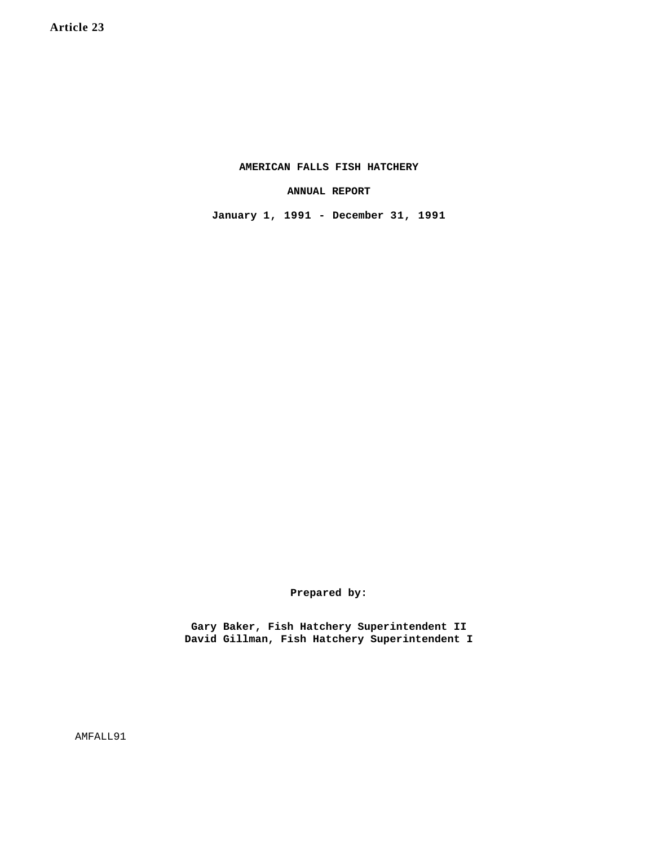**AMERICAN FALLS FISH HATCHERY**

**ANNUAL REPORT**

**January 1, 1991 - December 31, 1991**

**Prepared by:**

**Gary Baker, Fish Hatchery Superintendent II David Gillman, Fish Hatchery Superintendent I**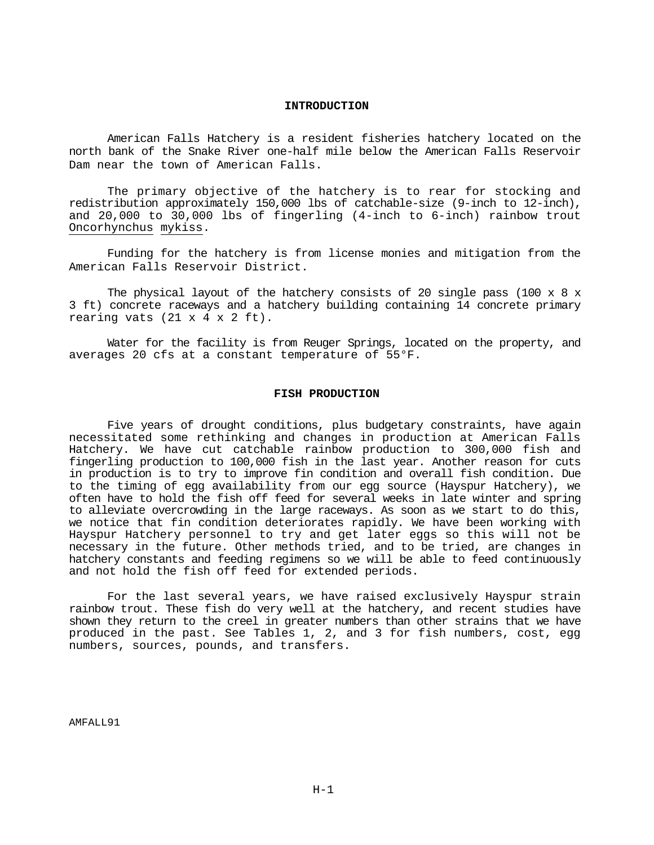# **INTRODUCTION**

American Falls Hatchery is a resident fisheries hatchery located on the north bank of the Snake River one-half mile below the American Falls Reservoir Dam near the town of American Falls.

The primary objective of the hatchery is to rear for stocking and redistribution approximately 150,000 lbs of catchable-size (9-inch to 12-inch), and 20,000 to 30,000 lbs of fingerling (4-inch to 6-inch) rainbow trout Oncorhynchus mykiss.

Funding for the hatchery is from license monies and mitigation from the American Falls Reservoir District.

The physical layout of the hatchery consists of 20 single pass (100  $\times$  8  $\times$ 3 ft) concrete raceways and a hatchery building containing 14 concrete primary rearing vats  $(21 \times 4 \times 2 \text{ ft})$ .

Water for the facility is from Reuger Springs, located on the property, and averages 20 cfs at a constant temperature of 55°F.

### **FISH PRODUCTION**

Five years of drought conditions, plus budgetary constraints, have again necessitated some rethinking and changes in production at American Falls Hatchery. We have cut catchable rainbow production to 300,000 fish and fingerling production to 100,000 fish in the last year. Another reason for cuts in production is to try to improve fin condition and overall fish condition. Due to the timing of egg availability from our egg source (Hayspur Hatchery), we often have to hold the fish off feed for several weeks in late winter and spring to alleviate overcrowding in the large raceways. As soon as we start to do this, we notice that fin condition deteriorates rapidly. We have been working with Hayspur Hatchery personnel to try and get later eggs so this will not be necessary in the future. Other methods tried, and to be tried, are changes in hatchery constants and feeding regimens so we will be able to feed continuously and not hold the fish off feed for extended periods.

For the last several years, we have raised exclusively Hayspur strain rainbow trout. These fish do very well at the hatchery, and recent studies have shown they return to the creel in greater numbers than other strains that we have produced in the past. See Tables 1, 2, and 3 for fish numbers, cost, egg numbers, sources, pounds, and transfers.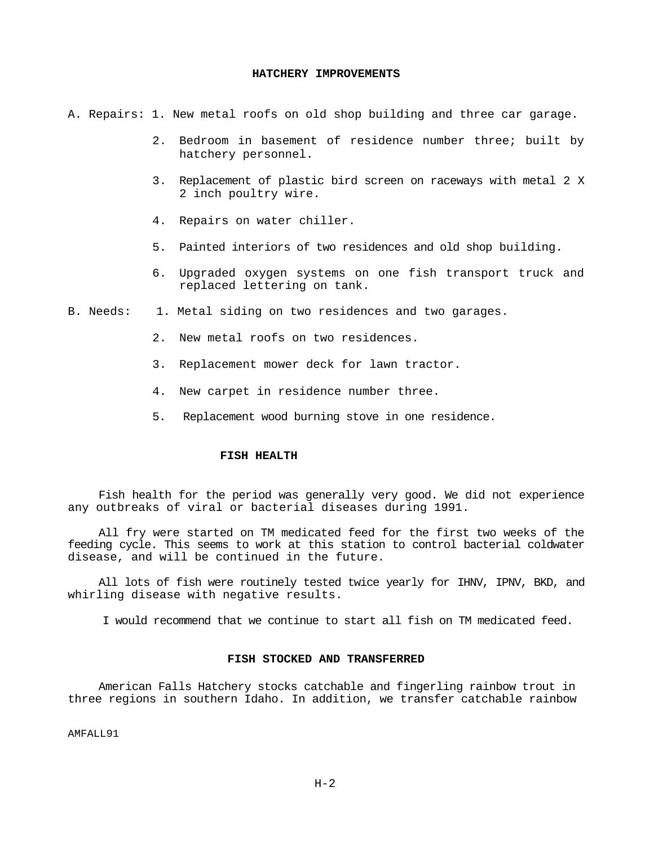#### **HATCHERY IMPROVEMENTS**

A. Repairs: 1. New metal roofs on old shop building and three car garage.

- 2. Bedroom in basement of residence number three; built by hatchery personnel.
- 3. Replacement of plastic bird screen on raceways with metal 2 X 2 inch poultry wire.
- 4. Repairs on water chiller.
- 5. Painted interiors of two residences and old shop building.
- 6. Upgraded oxygen systems on one fish transport truck and replaced lettering on tank.
- B. Needs: 1. Metal siding on two residences and two garages.
	- 2. New metal roofs on two residences.
	- 3. Replacement mower deck for lawn tractor.
	- 4. New carpet in residence number three.
	- 5. Replacement wood burning stove in one residence.

# **FISH HEALTH**

Fish health for the period was generally very good. We did not experience any outbreaks of viral or bacterial diseases during 1991.

All fry were started on TM medicated feed for the first two weeks of the feeding cycle. This seems to work at this station to control bacterial coldwater disease, and will be continued in the future.

All lots of fish were routinely tested twice yearly for IHNV, IPNV, BKD, and whirling disease with negative results.

I would recommend that we continue to start all fish on TM medicated feed.

#### **FISH STOCKED AND TRANSFERRED**

American Falls Hatchery stocks catchable and fingerling rainbow trout in three regions in southern Idaho. In addition, we transfer catchable rainbow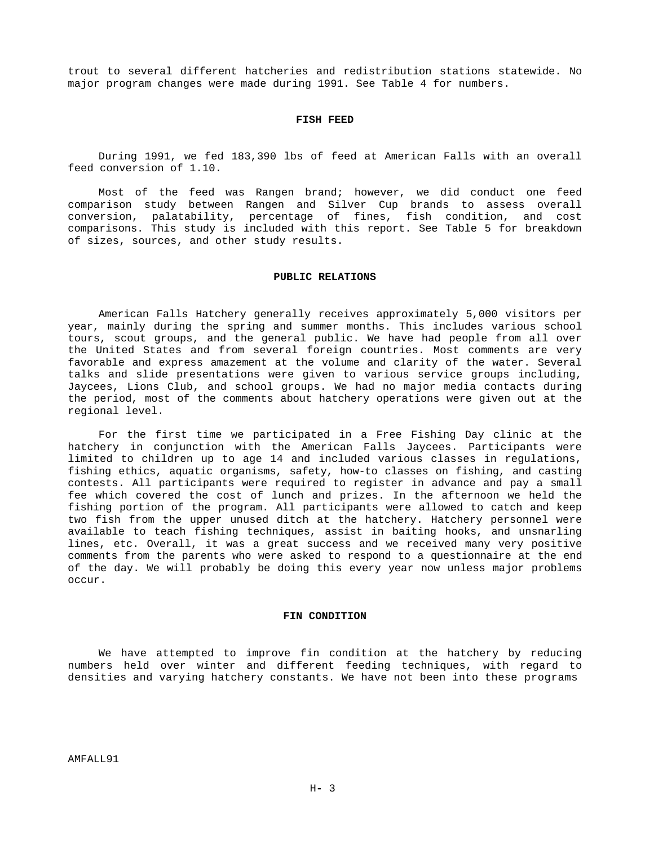trout to several different hatcheries and redistribution stations statewide. No major program changes were made during 1991. See Table 4 for numbers.

#### **FISH FEED**

During 1991, we fed 183,390 lbs of feed at American Falls with an overall feed conversion of 1.10.

Most of the feed was Rangen brand; however, we did conduct one feed comparison study between Rangen and Silver Cup brands to assess overall conversion, palatability, percentage of fines, fish condition, and cost comparisons. This study is included with this report. See Table 5 for breakdown of sizes, sources, and other study results.

#### **PUBLIC RELATIONS**

American Falls Hatchery generally receives approximately 5,000 visitors per year, mainly during the spring and summer months. This includes various school tours, scout groups, and the general public. We have had people from all over the United States and from several foreign countries. Most comments are very favorable and express amazement at the volume and clarity of the water. Several talks and slide presentations were given to various service groups including, Jaycees, Lions Club, and school groups. We had no major media contacts during the period, most of the comments about hatchery operations were given out at the regional level.

For the first time we participated in a Free Fishing Day clinic at the hatchery in conjunction with the American Falls Jaycees. Participants were limited to children up to age 14 and included various classes in regulations, fishing ethics, aquatic organisms, safety, how-to classes on fishing, and casting contests. All participants were required to register in advance and pay a small fee which covered the cost of lunch and prizes. In the afternoon we held the fishing portion of the program. All participants were allowed to catch and keep two fish from the upper unused ditch at the hatchery. Hatchery personnel were available to teach fishing techniques, assist in baiting hooks, and unsnarling lines, etc. Overall, it was a great success and we received many very positive comments from the parents who were asked to respond to a questionnaire at the end of the day. We will probably be doing this every year now unless major problems occur.

## **FIN CONDITION**

We have attempted to improve fin condition at the hatchery by reducing numbers held over winter and different feeding techniques, with regard to densities and varying hatchery constants. We have not been into these programs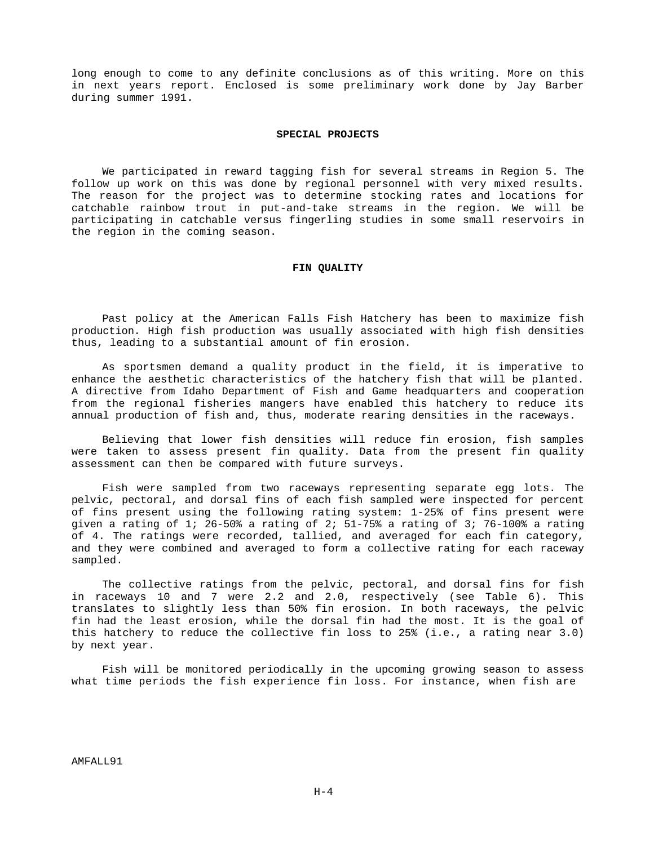long enough to come to any definite conclusions as of this writing. More on this in next years report. Enclosed is some preliminary work done by Jay Barber during summer 1991.

#### **SPECIAL PROJECTS**

We participated in reward tagging fish for several streams in Region 5. The follow up work on this was done by regional personnel with very mixed results. The reason for the project was to determine stocking rates and locations for catchable rainbow trout in put-and-take streams in the region. We will be participating in catchable versus fingerling studies in some small reservoirs in the region in the coming season.

#### **FIN QUALITY**

Past policy at the American Falls Fish Hatchery has been to maximize fish production. High fish production was usually associated with high fish densities thus, leading to a substantial amount of fin erosion.

As sportsmen demand a quality product in the field, it is imperative to enhance the aesthetic characteristics of the hatchery fish that will be planted. A directive from Idaho Department of Fish and Game headquarters and cooperation from the regional fisheries mangers have enabled this hatchery to reduce its annual production of fish and, thus, moderate rearing densities in the raceways.

Believing that lower fish densities will reduce fin erosion, fish samples were taken to assess present fin quality. Data from the present fin quality assessment can then be compared with future surveys.

Fish were sampled from two raceways representing separate egg lots. The pelvic, pectoral, and dorsal fins of each fish sampled were inspected for percent of fins present using the following rating system: 1-25% of fins present were given a rating of 1; 26-50% a rating of 2; 51-75% a rating of 3; 76-100% a rating of 4. The ratings were recorded, tallied, and averaged for each fin category, and they were combined and averaged to form a collective rating for each raceway sampled.

The collective ratings from the pelvic, pectoral, and dorsal fins for fish in raceways 10 and 7 were 2.2 and 2.0, respectively (see Table 6). This translates to slightly less than 50% fin erosion. In both raceways, the pelvic fin had the least erosion, while the dorsal fin had the most. It is the goal of this hatchery to reduce the collective fin loss to 25% (i.e., a rating near 3.0) by next year.

Fish will be monitored periodically in the upcoming growing season to assess what time periods the fish experience fin loss. For instance, when fish are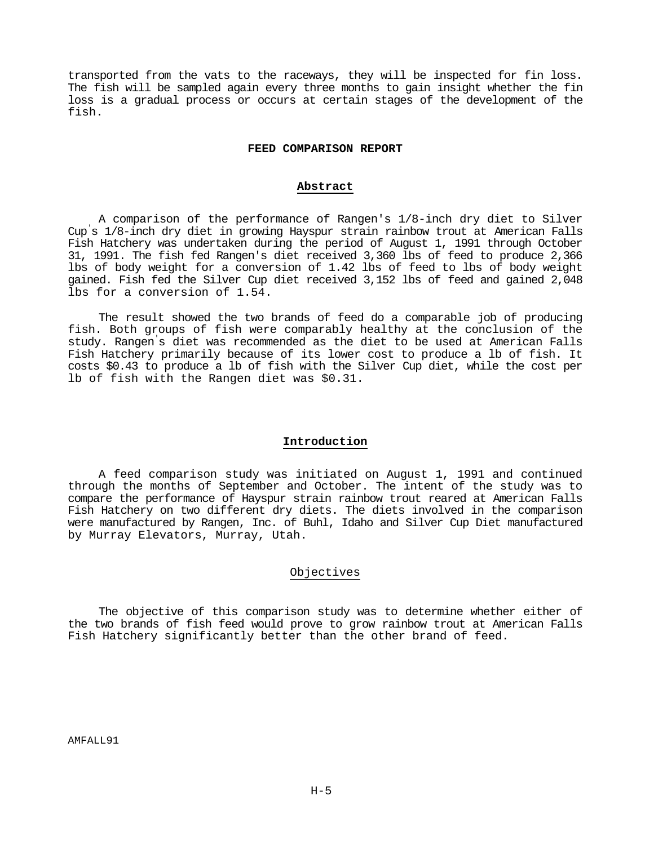transported from the vats to the raceways, they will be inspected for fin loss. The fish will be sampled again every three months to gain insight whether the fin loss is a gradual process or occurs at certain stages of the development of the fish.

#### **FEED COMPARISON REPORT**

# **Abstract**

A comparison of the performance of Rangen's 1/8-inch dry diet to Silver Cup 's 1/8-inch dry diet in growing Hayspur strain rainbow trout at American Falls Fish Hatchery was undertaken during the period of August 1, 1991 through October 31, 1991. The fish fed Rangen's diet received 3,360 lbs of feed to produce 2,366 lbs of body weight for a conversion of 1.42 lbs of feed to lbs of body weight gained. Fish fed the Silver Cup diet received 3,152 lbs of feed and gained 2,048 lbs for a conversion of 1.54.

The result showed the two brands of feed do a comparable job of producing fish. Both groups of fish were comparably healthy at the conclusion of the study. Rangen 's diet was recommended as the diet to be used at American Falls Fish Hatchery primarily because of its lower cost to produce a lb of fish. It costs \$0.43 to produce a lb of fish with the Silver Cup diet, while the cost per lb of fish with the Rangen diet was \$0.31.

#### **Introduction**

A feed comparison study was initiated on August 1, 1991 and continued through the months of September and October. The intent of the study was to compare the performance of Hayspur strain rainbow trout reared at American Falls Fish Hatchery on two different dry diets. The diets involved in the comparison were manufactured by Rangen, Inc. of Buhl, Idaho and Silver Cup Diet manufactured by Murray Elevators, Murray, Utah.

# Objectives

The objective of this comparison study was to determine whether either of the two brands of fish feed would prove to grow rainbow trout at American Falls Fish Hatchery significantly better than the other brand of feed.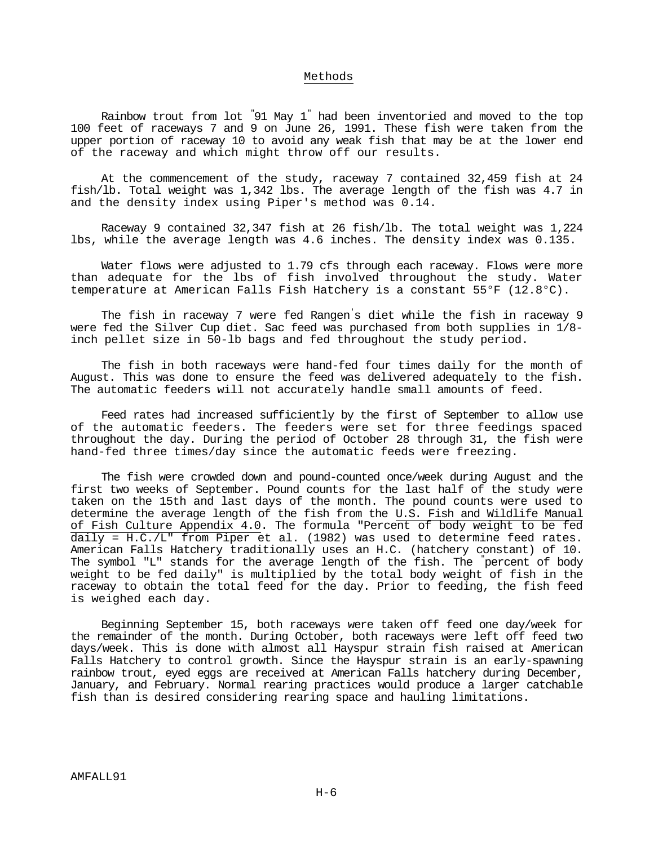## Methods

Rainbow trout from lot "91 May 1 " had been inventoried and moved to the top 100 feet of raceways 7 and 9 on June 26, 1991. These fish were taken from the upper portion of raceway 10 to avoid any weak fish that may be at the lower end of the raceway and which might throw off our results.

At the commencement of the study, raceway 7 contained 32,459 fish at 24 fish/lb. Total weight was 1,342 lbs. The average length of the fish was 4.7 in and the density index using Piper's method was 0.14.

Raceway 9 contained 32,347 fish at 26 fish/lb. The total weight was 1,224 lbs, while the average length was 4.6 inches. The density index was 0.135.

Water flows were adjusted to 1.79 cfs through each raceway. Flows were more than adequate for the lbs of fish involved throughout the study. Water temperature at American Falls Fish Hatchery is a constant 55°F (12.8°C).

The fish in raceway 7 were fed Rangen 's diet while the fish in raceway 9 were fed the Silver Cup diet. Sac feed was purchased from both supplies in 1/8 inch pellet size in 50-lb bags and fed throughout the study period.

The fish in both raceways were hand-fed four times daily for the month of August. This was done to ensure the feed was delivered adequately to the fish. The automatic feeders will not accurately handle small amounts of feed.

Feed rates had increased sufficiently by the first of September to allow use of the automatic feeders. The feeders were set for three feedings spaced throughout the day. During the period of October 28 through 31, the fish were hand-fed three times/day since the automatic feeds were freezing.

The fish were crowded down and pound-counted once/week during August and the first two weeks of September. Pound counts for the last half of the study were taken on the 15th and last days of the month. The pound counts were used to determine the average length of the fish from the U.S. Fish and Wildlife Manual of Fish Culture Appendix 4.0. The formula "Percent of body weight to be fed daily = H.C./L" from Piper et al. (1982) was used to determine feed rates. American Falls Hatchery traditionally uses an H.C. (hatchery constant) of 10. The symbol "L" stands for the average length of the fish. The "percent of body weight to be fed daily" is multiplied by the total body weight of fish in the raceway to obtain the total feed for the day. Prior to feeding, the fish feed is weighed each day.

Beginning September 15, both raceways were taken off feed one day/week for the remainder of the month. During October, both raceways were left off feed two days/week. This is done with almost all Hayspur strain fish raised at American Falls Hatchery to control growth. Since the Hayspur strain is an early-spawning rainbow trout, eyed eggs are received at American Falls hatchery during December, January, and February. Normal rearing practices would produce a larger catchable fish than is desired considering rearing space and hauling limitations.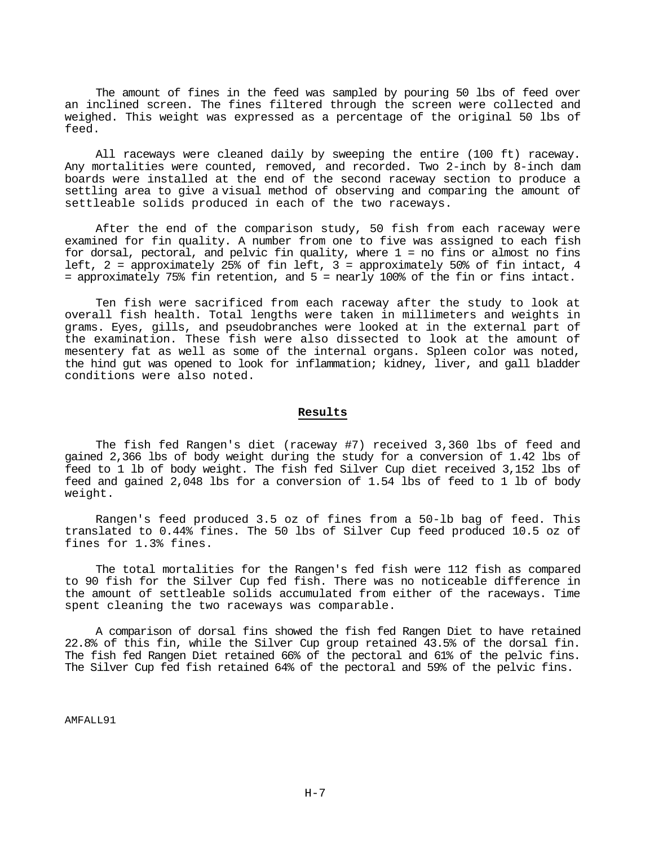The amount of fines in the feed was sampled by pouring 50 lbs of feed over an inclined screen. The fines filtered through the screen were collected and weighed. This weight was expressed as a percentage of the original 50 lbs of feed.

All raceways were cleaned daily by sweeping the entire (100 ft) raceway. Any mortalities were counted, removed, and recorded. Two 2-inch by 8-inch dam boards were installed at the end of the second raceway section to produce a settling area to give a visual method of observing and comparing the amount of settleable solids produced in each of the two raceways.

After the end of the comparison study, 50 fish from each raceway were examined for fin quality. A number from one to five was assigned to each fish for dorsal, pectoral, and pelvic fin quality, where 1 = no fins or almost no fins left, 2 = approximately 25% of fin left, 3 = approximately 50% of fin intact, 4 = approximately 75% fin retention, and 5 = nearly 100% of the fin or fins intact.

Ten fish were sacrificed from each raceway after the study to look at overall fish health. Total lengths were taken in millimeters and weights in grams. Eyes, gills, and pseudobranches were looked at in the external part of the examination. These fish were also dissected to look at the amount of mesentery fat as well as some of the internal organs. Spleen color was noted, the hind gut was opened to look for inflammation; kidney, liver, and gall bladder conditions were also noted.

## **Results**

The fish fed Rangen's diet (raceway #7) received 3,360 lbs of feed and gained 2,366 lbs of body weight during the study for a conversion of 1.42 lbs of feed to 1 lb of body weight. The fish fed Silver Cup diet received 3,152 lbs of feed and gained 2,048 lbs for a conversion of 1.54 lbs of feed to 1 lb of body weight.

Rangen's feed produced 3.5 oz of fines from a 50-lb bag of feed. This translated to 0.44% fines. The 50 lbs of Silver Cup feed produced 10.5 oz of fines for 1.3% fines.

The total mortalities for the Rangen's fed fish were 112 fish as compared to 90 fish for the Silver Cup fed fish. There was no noticeable difference in the amount of settleable solids accumulated from either of the raceways. Time spent cleaning the two raceways was comparable.

A comparison of dorsal fins showed the fish fed Rangen Diet to have retained 22.8% of this fin, while the Silver Cup group retained 43.5% of the dorsal fin. The fish fed Rangen Diet retained 66% of the pectoral and 61% of the pelvic fins. The Silver Cup fed fish retained 64% of the pectoral and 59% of the pelvic fins.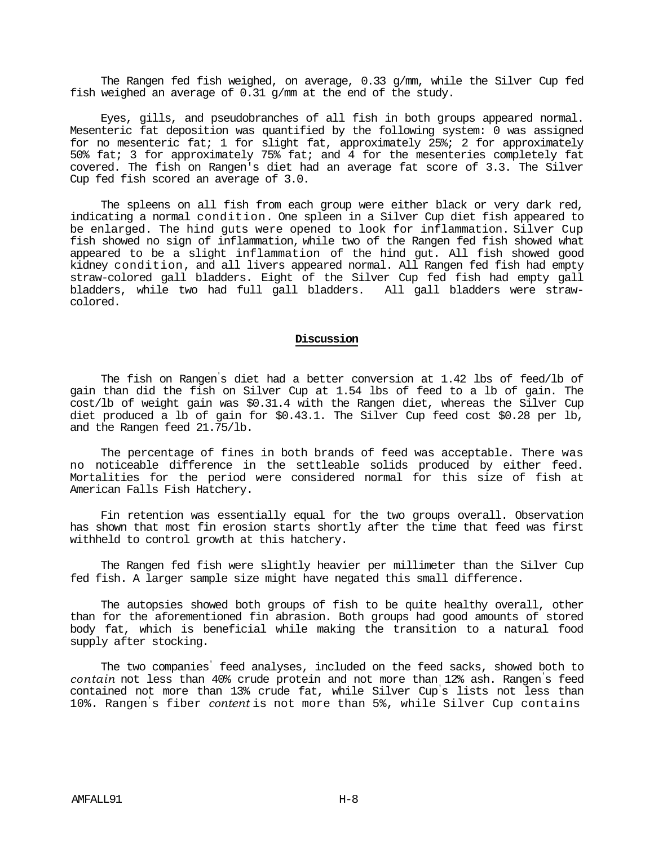The Rangen fed fish weighed, on average, 0.33 g/mm, while the Silver Cup fed fish weighed an average of 0.31 g/mm at the end of the study.

Eyes, gills, and pseudobranches of all fish in both groups appeared normal. Mesenteric fat deposition was quantified by the following system: 0 was assigned for no mesenteric fat; 1 for slight fat, approximately 25%; 2 for approximately 50% fat; 3 for approximately 75% fat; and 4 for the mesenteries completely fat covered. The fish on Rangen's diet had an average fat score of 3.3. The Silver Cup fed fish scored an average of 3.0.

The spleens on all fish from each group were either black or very dark red, indicating a normal condition. One spleen in a Silver Cup diet fish appeared to be enlarged. The hind guts were opened to look for inflammation. Silver Cup fish showed no sign of inflammation, while two of the Rangen fed fish showed what appeared to be a slight inflammation of the hind gut. All fish showed good kidney condition, and all livers appeared normal. All Rangen fed fish had empty straw-colored gall bladders. Eight of the Silver Cup fed fish had empty gall bladders, while two had full gall bladders. All gall bladders were strawcolored.

## **Discussion**

The fish on Rangen 's diet had a better conversion at 1.42 lbs of feed/lb of gain than did the fish on Silver Cup at 1.54 lbs of feed to a lb of gain. The cost/lb of weight gain was \$0.31.4 with the Rangen diet, whereas the Silver Cup diet produced a lb of gain for \$0.43.1. The Silver Cup feed cost \$0.28 per lb, and the Rangen feed 21.75/lb.

The percentage of fines in both brands of feed was acceptable. There was no noticeable difference in the settleable solids produced by either feed. Mortalities for the period were considered normal for this size of fish at American Falls Fish Hatchery.

Fin retention was essentially equal for the two groups overall. Observation has shown that most fin erosion starts shortly after the time that feed was first withheld to control growth at this hatchery.

The Rangen fed fish were slightly heavier per millimeter than the Silver Cup fed fish. A larger sample size might have negated this small difference.

The autopsies showed both groups of fish to be quite healthy overall, other than for the aforementioned fin abrasion. Both groups had good amounts of stored body fat, which is beneficial while making the transition to a natural food supply after stocking.

The two companies' feed analyses, included on the feed sacks, showed both to *contain* not less than 40% crude protein and not more than 12% ash. Rangen's feed contained not more than 13% crude fat, while Silver Cup's lists not less than 10%. Rangen's fiber *content* is not more than 5%, while Silver Cup contains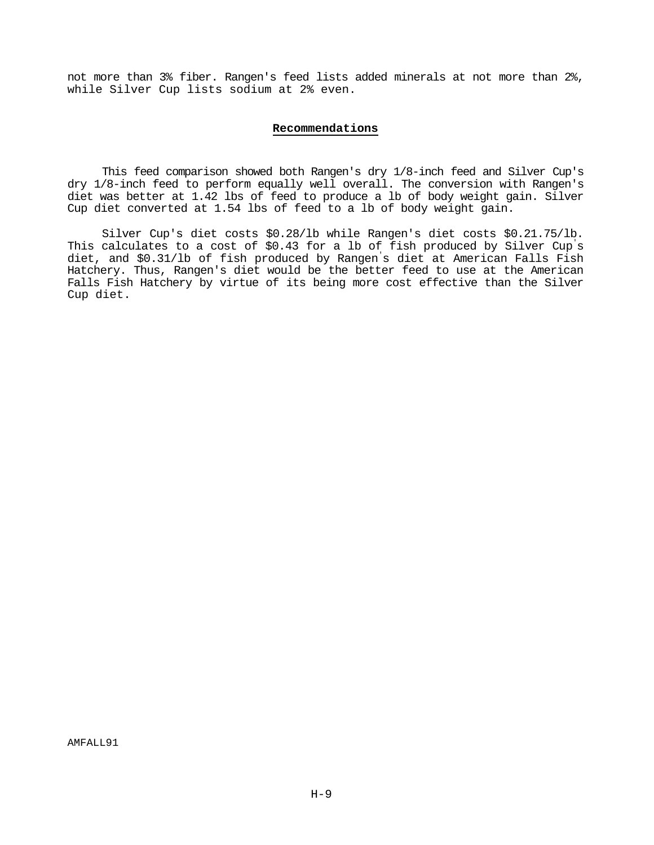not more than 3% fiber. Rangen's feed lists added minerals at not more than 2%, while Silver Cup lists sodium at 2% even.

# **Recommendations**

This feed comparison showed both Rangen's dry 1/8-inch feed and Silver Cup's dry 1/8-inch feed to perform equally well overall. The conversion with Rangen's diet was better at 1.42 lbs of feed to produce a lb of body weight gain. Silver Cup diet converted at 1.54 lbs of feed to a lb of body weight gain.

Silver Cup's diet costs \$0.28/lb while Rangen's diet costs \$0.21.75/lb. This calculates to a cost of \$0.43 for a lb of fish produced by Silver Cup 's diet, and \$0.31/lb of fish produced by Rangen 's diet at American Falls Fish Hatchery. Thus, Rangen's diet would be the better feed to use at the American Falls Fish Hatchery by virtue of its being more cost effective than the Silver Cup diet.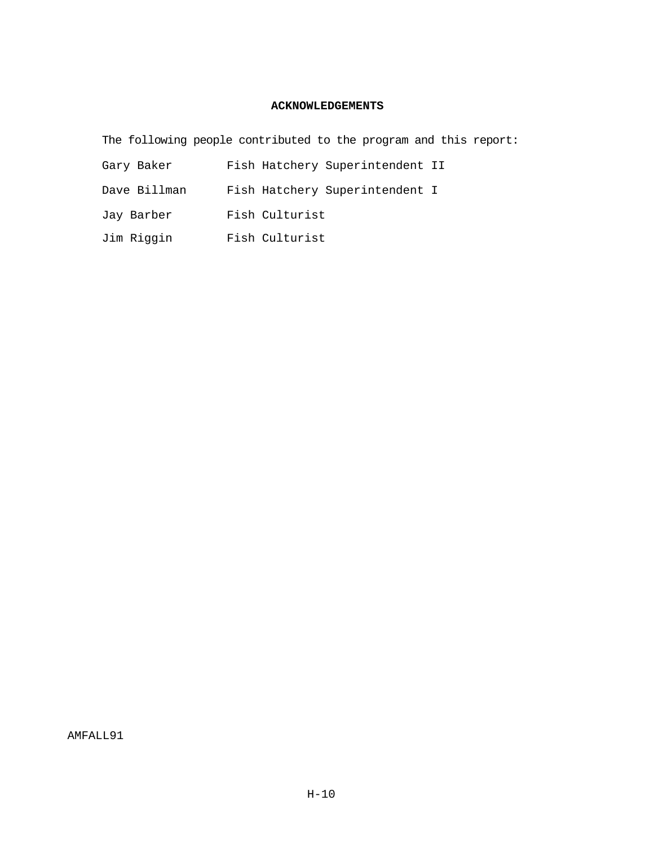# **ACKNOWLEDGEMENTS**

The following people contributed to the program and this report:

| Gary Baker   | Fish Hatchery Superintendent II |
|--------------|---------------------------------|
| Dave Billman | Fish Hatchery Superintendent I  |
| Jay Barber   | Fish Culturist                  |
| Jim Riggin   | Fish Culturist                  |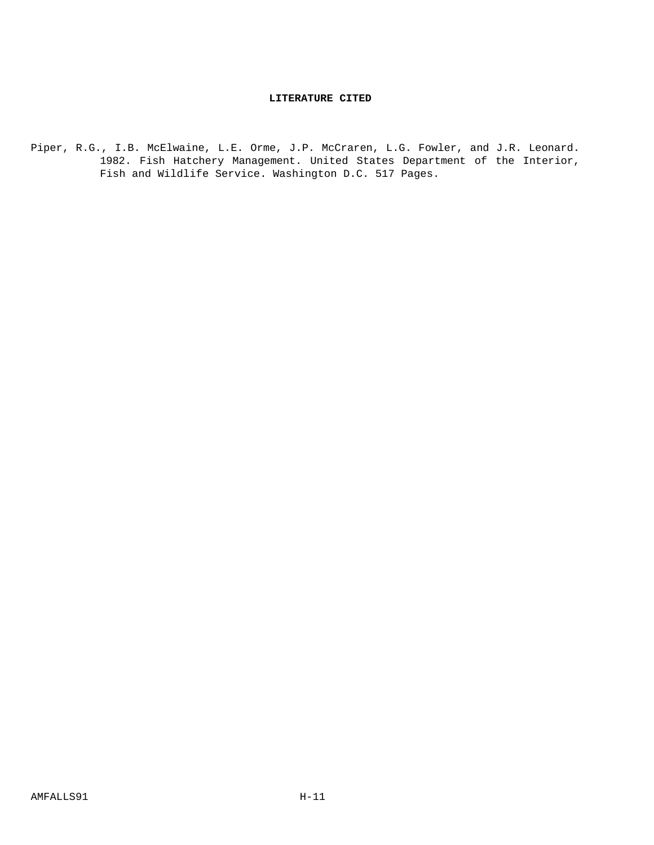# **LITERATURE CITED**

Piper, R.G., I.B. McElwaine, L.E. Orme, J.P. McCraren, L.G. Fowler, and J.R. Leonard. 1982. Fish Hatchery Management. United States Department of the Interior, Fish and Wildlife Service. Washington D.C. 517 Pages.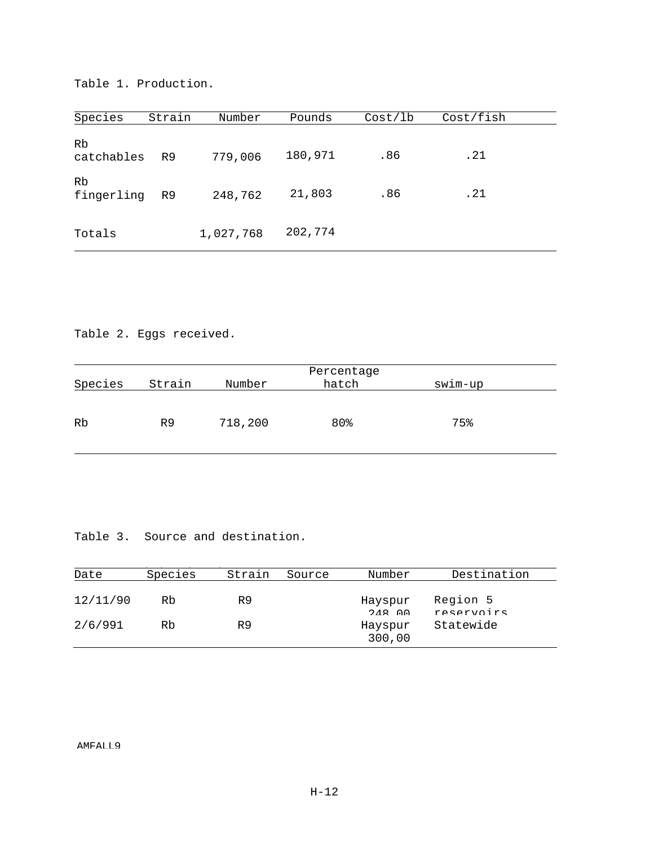Table 1. Production.

| Species          | Strain         | Number    | Pounds  | Cost/1b | Cost/fish |  |
|------------------|----------------|-----------|---------|---------|-----------|--|
| Rb<br>catchables | R <sub>9</sub> | 779,006   | 180,971 | .86     | .21       |  |
| Rb<br>fingerling | R <sub>9</sub> | 248,762   | 21,803  | .86     | .21       |  |
| Totals           |                | 1,027,768 | 202,774 |         |           |  |

Table 2. Eggs received.

| Percentage |                |         |       |         |  |
|------------|----------------|---------|-------|---------|--|
| Species    | Strain         | Number  | hatch | swim-up |  |
|            |                |         |       |         |  |
| Rb         | R <sub>9</sub> | 718,200 | 80%   | 75%     |  |
|            |                |         |       |         |  |

Table 3. Source and destination.

| Date     | Species | Strain | Source | Number              | Destination            |
|----------|---------|--------|--------|---------------------|------------------------|
| 12/11/90 | Rb      | R9     |        | Hayspur<br>$248$ 00 | Region 5<br>reservoirs |
| 2/6/991  | Rb      | R9     |        | Hayspur<br>300,00   | Statewide              |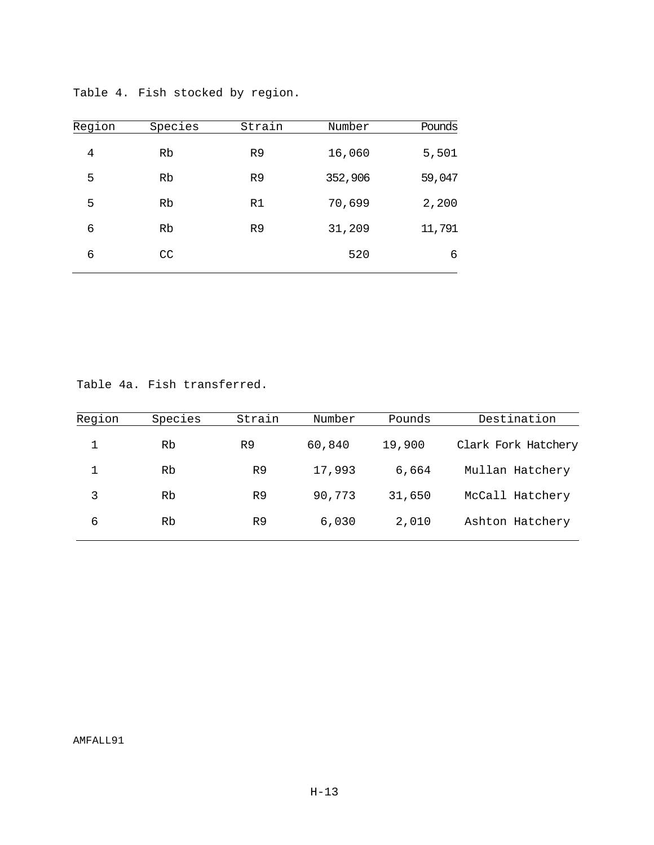| Region | Species | Strain         | Number  | Pounds |
|--------|---------|----------------|---------|--------|
| 4      | Rb      | R <sub>9</sub> | 16,060  | 5,501  |
| 5      | Rb      | R <sub>9</sub> | 352,906 | 59,047 |
| 5      | Rb      | R1             | 70,699  | 2,200  |
| 6      | Rb      | R <sub>9</sub> | 31,209  | 11,791 |
| 6      | CC      |                | 520     | 6      |

Table 4. Fish stocked by region.

Table 4a. Fish transferred.

| Region | Species | Strain         | Number | Pounds | Destination         |
|--------|---------|----------------|--------|--------|---------------------|
|        | Rb      | R9             | 60,840 | 19,900 | Clark Fork Hatchery |
|        | Rb      | R9             | 17,993 | 6,664  | Mullan Hatchery     |
| 3      | Rb      | R9             | 90,773 | 31,650 | McCall Hatchery     |
| 6      | Rb      | R <sub>9</sub> | 6,030  | 2,010  | Ashton Hatchery     |
|        |         |                |        |        |                     |